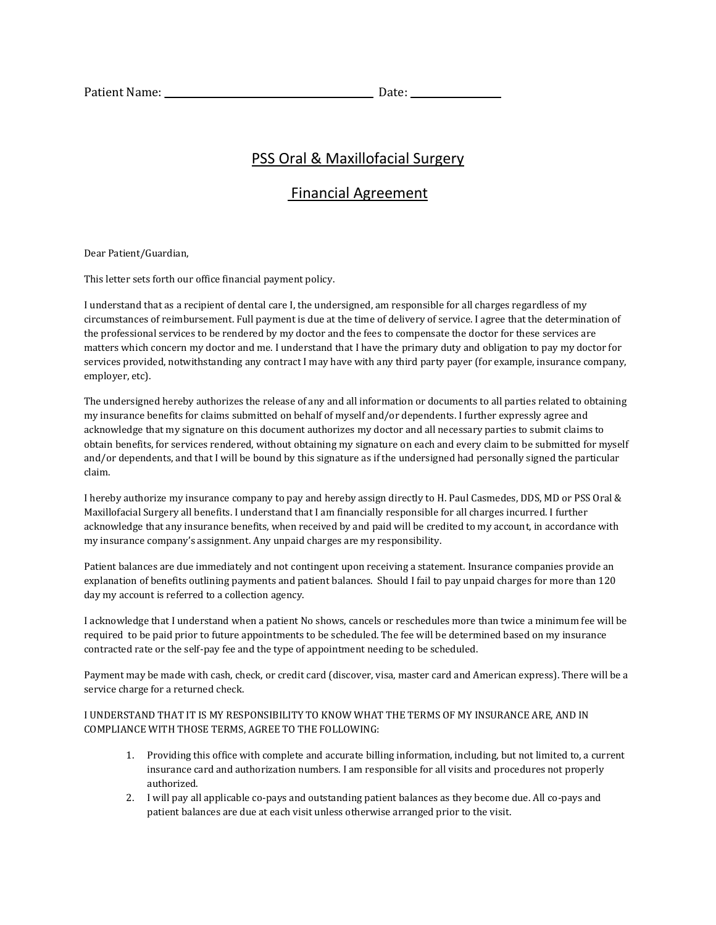## PSS Oral & Maxillofacial Surgery

## Financial Agreement

Dear Patient/Guardian,

This letter sets forth our office financial payment policy.

I understand that as a recipient of dental care I, the undersigned, am responsible for all charges regardless of my circumstances of reimbursement. Full payment is due at the time of delivery of service. I agree that the determination of the professional services to be rendered by my doctor and the fees to compensate the doctor for these services are matters which concern my doctor and me. I understand that I have the primary duty and obligation to pay my doctor for services provided, notwithstanding any contract I may have with any third party payer (for example, insurance company, employer, etc).

The undersigned hereby authorizes the release of any and all information or documents to all parties related to obtaining my insurance benefits for claims submitted on behalf of myself and/or dependents. I further expressly agree and acknowledge that my signature on this document authorizes my doctor and all necessary parties to submit claims to obtain benefits, for services rendered, without obtaining my signature on each and every claim to be submitted for myself and/or dependents, and that I will be bound by this signature as if the undersigned had personally signed the particular claim.

I hereby authorize my insurance company to pay and hereby assign directly to H. Paul Casmedes, DDS, MD or PSS Oral & Maxillofacial Surgery all benefits. I understand that I am financially responsible for all charges incurred. I further acknowledge that any insurance benefits, when received by and paid will be credited to my account, in accordance with my insurance company's assignment. Any unpaid charges are my responsibility.

Patient balances are due immediately and not contingent upon receiving a statement. Insurance companies provide an explanation of benefits outlining payments and patient balances. Should I fail to pay unpaid charges for more than 120 day my account is referred to a collection agency.

I acknowledge that I understand when a patient No shows, cancels or reschedules more than twice a minimum fee will be required to be paid prior to future appointments to be scheduled. The fee will be determined based on my insurance contracted rate or the self-pay fee and the type of appointment needing to be scheduled.

Payment may be made with cash, check, or credit card (discover, visa, master card and American express). There will be a service charge for a returned check.

I UNDERSTAND THAT IT IS MY RESPONSIBILITY TO KNOW WHAT THE TERMS OF MY INSURANCE ARE, AND IN COMPLIANCE WITH THOSE TERMS, AGREE TO THE FOLLOWING:

- 1. Providing this office with complete and accurate billing information, including, but not limited to, a current insurance card and authorization numbers. I am responsible for all visits and procedures not properly authorized.
- 2. I will pay all applicable co-pays and outstanding patient balances as they become due. All co-pays and patient balances are due at each visit unless otherwise arranged prior to the visit.